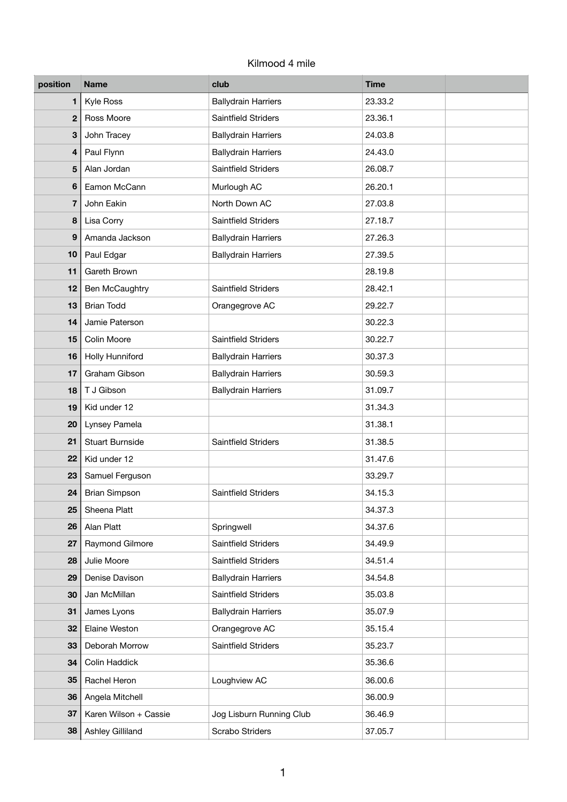## Kilmood 4 mile

| position         | <b>Name</b>            | club                       | <b>Time</b> |  |
|------------------|------------------------|----------------------------|-------------|--|
| 1                | Kyle Ross              | <b>Ballydrain Harriers</b> | 23.33.2     |  |
| $\overline{2}$   | Ross Moore             | Saintfield Striders        | 23.36.1     |  |
| 3                | John Tracey            | <b>Ballydrain Harriers</b> | 24.03.8     |  |
| 4                | Paul Flynn             | <b>Ballydrain Harriers</b> | 24.43.0     |  |
| 5                | Alan Jordan            | <b>Saintfield Striders</b> | 26.08.7     |  |
| 6                | Eamon McCann           | Murlough AC                | 26.20.1     |  |
| $\overline{7}$   | John Eakin             | North Down AC              | 27.03.8     |  |
| 8                | Lisa Corry             | Saintfield Striders        | 27.18.7     |  |
| $\boldsymbol{9}$ | Amanda Jackson         | <b>Ballydrain Harriers</b> | 27.26.3     |  |
| 10               | Paul Edgar             | <b>Ballydrain Harriers</b> | 27.39.5     |  |
| 11               | Gareth Brown           |                            | 28.19.8     |  |
| 12               | Ben McCaughtry         | Saintfield Striders        | 28.42.1     |  |
| 13               | <b>Brian Todd</b>      | Orangegrove AC             | 29.22.7     |  |
| 14               | Jamie Paterson         |                            | 30.22.3     |  |
| 15               | Colin Moore            | Saintfield Striders        | 30.22.7     |  |
| 16               | Holly Hunniford        | <b>Ballydrain Harriers</b> | 30.37.3     |  |
| 17               | Graham Gibson          | <b>Ballydrain Harriers</b> | 30.59.3     |  |
| 18               | T J Gibson             | <b>Ballydrain Harriers</b> | 31.09.7     |  |
| 19               | Kid under 12           |                            | 31.34.3     |  |
| 20               | Lynsey Pamela          |                            | 31.38.1     |  |
| 21               | <b>Stuart Burnside</b> | Saintfield Striders        | 31.38.5     |  |
| 22               | Kid under 12           |                            | 31.47.6     |  |
| 23               | Samuel Ferguson        |                            | 33.29.7     |  |
| 24               | <b>Brian Simpson</b>   | Saintfield Striders        | 34.15.3     |  |
| 25               | Sheena Platt           |                            | 34.37.3     |  |
| 26               | Alan Platt             | Springwell                 | 34.37.6     |  |
| 27               | Raymond Gilmore        | Saintfield Striders        | 34.49.9     |  |
| 28               | Julie Moore            | Saintfield Striders        | 34.51.4     |  |
| 29               | Denise Davison         | <b>Ballydrain Harriers</b> | 34.54.8     |  |
| 30               | Jan McMillan           | Saintfield Striders        | 35.03.8     |  |
| 31               | James Lyons            | <b>Ballydrain Harriers</b> | 35.07.9     |  |
| 32               | Elaine Weston          | Orangegrove AC             | 35.15.4     |  |
| 33               | Deborah Morrow         | Saintfield Striders        | 35.23.7     |  |
| 34               | Colin Haddick          |                            | 35.36.6     |  |
| 35               | Rachel Heron           | Loughview AC               | 36.00.6     |  |
| 36               | Angela Mitchell        |                            | 36.00.9     |  |
| 37               | Karen Wilson + Cassie  | Jog Lisburn Running Club   | 36.46.9     |  |
| 38               | Ashley Gilliland       | Scrabo Striders            | 37.05.7     |  |